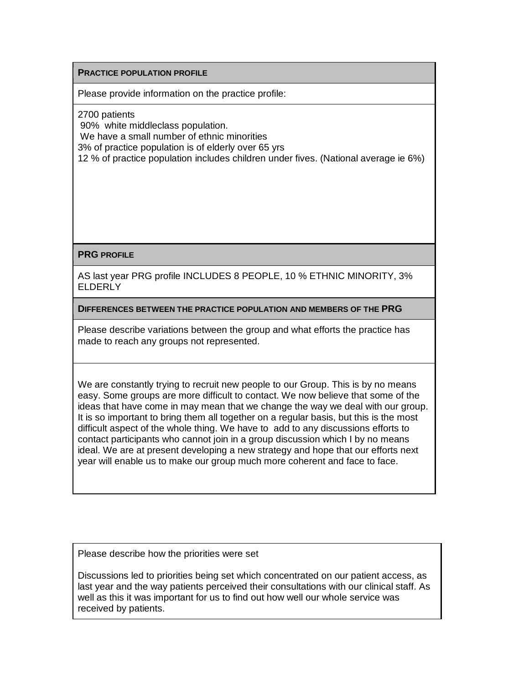#### **PRACTICE POPULATION PROFILE**

Please provide information on the practice profile:

2700 patients 90% white middleclass population. We have a small number of ethnic minorities 3% of practice population is of elderly over 65 yrs 12 % of practice population includes children under fives. (National average ie 6%)

#### **PRG PROFILE**

AS last year PRG profile INCLUDES 8 PEOPLE, 10 % ETHNIC MINORITY, 3% **ELDERLY** 

**DIFFERENCES BETWEEN THE PRACTICE POPULATION AND MEMBERS OF THE PRG**

Please describe variations between the group and what efforts the practice has made to reach any groups not represented.

We are constantly trying to recruit new people to our Group. This is by no means easy. Some groups are more difficult to contact. We now believe that some of the ideas that have come in may mean that we change the way we deal with our group. It is so important to bring them all together on a regular basis, but this is the most difficult aspect of the whole thing. We have to add to any discussions efforts to contact participants who cannot join in a group discussion which I by no means ideal. We are at present developing a new strategy and hope that our efforts next year will enable us to make our group much more coherent and face to face.

Please describe how the priorities were set

Discussions led to priorities being set which concentrated on our patient access, as last year and the way patients perceived their consultations with our clinical staff. As well as this it was important for us to find out how well our whole service was received by patients.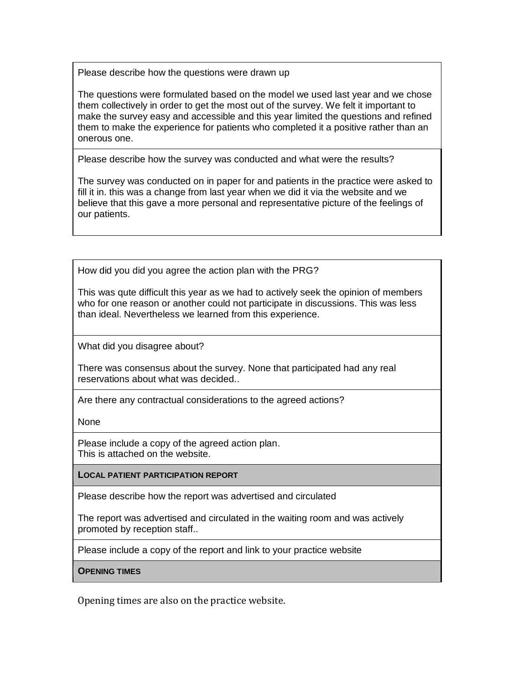Please describe how the questions were drawn up

The questions were formulated based on the model we used last year and we chose them collectively in order to get the most out of the survey. We felt it important to make the survey easy and accessible and this year limited the questions and refined them to make the experience for patients who completed it a positive rather than an onerous one.

Please describe how the survey was conducted and what were the results?

The survey was conducted on in paper for and patients in the practice were asked to fill it in. this was a change from last year when we did it via the website and we believe that this gave a more personal and representative picture of the feelings of our patients.

How did you did you agree the action plan with the PRG?

This was qute difficult this year as we had to actively seek the opinion of members who for one reason or another could not participate in discussions. This was less than ideal. Nevertheless we learned from this experience.

What did you disagree about?

There was consensus about the survey. None that participated had any real reservations about what was decided..

Are there any contractual considerations to the agreed actions?

None

Please include a copy of the agreed action plan. This is attached on the website.

**LOCAL PATIENT PARTICIPATION REPORT**

Please describe how the report was advertised and circulated

The report was advertised and circulated in the waiting room and was actively promoted by reception staff..

Please include a copy of the report and link to your practice website

**OPENING TIMES**

Opening times are also on the practice website.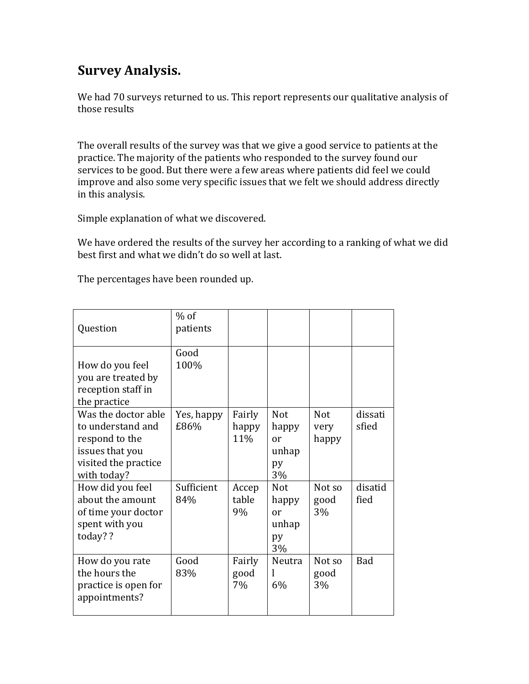# **Survey Analysis.**

We had 70 surveys returned to us. This report represents our qualitative analysis of those results

The overall results of the survey was that we give a good service to patients at the practice. The majority of the patients who responded to the survey found our services to be good. But there were a few areas where patients did feel we could improve and also some very specific issues that we felt we should address directly in this analysis.

Simple explanation of what we discovered.

We have ordered the results of the survey her according to a ranking of what we did best first and what we didn't do so well at last.

The percentages have been rounded up.

| Question                                                                                                             | $%$ of<br>patients |                        |                                                |                             |                  |
|----------------------------------------------------------------------------------------------------------------------|--------------------|------------------------|------------------------------------------------|-----------------------------|------------------|
| How do you feel<br>you are treated by<br>reception staff in<br>the practice                                          | Good<br>100%       |                        |                                                |                             |                  |
| Was the doctor able<br>to understand and<br>respond to the<br>issues that you<br>visited the practice<br>with today? | Yes, happy<br>£86% | Fairly<br>happy<br>11% | <b>Not</b><br>happy<br>or<br>unhap<br>py<br>3% | <b>Not</b><br>very<br>happy | dissati<br>sfied |
| How did you feel<br>about the amount<br>of time your doctor<br>spent with you<br>today? ?                            | Sufficient<br>84%  | Accep<br>table<br>9%   | <b>Not</b><br>happy<br>or<br>unhap<br>py<br>3% | Not so<br>good<br>3%        | disatid<br>fied  |
| How do you rate<br>the hours the<br>practice is open for<br>appointments?                                            | Good<br>83%        | Fairly<br>good<br>7%   | Neutra<br>6%                                   | Not so<br>good<br>3%        | Bad              |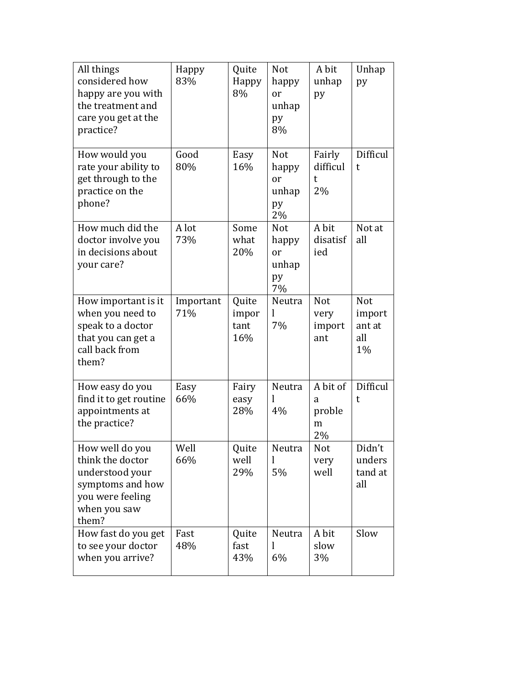| All things<br>considered how<br>happy are you with<br>the treatment and<br>care you get at the<br>practice?<br>How would you | Happy<br>83%<br>Good | Quite<br>Happy<br>8%<br>Easy  | Not<br>happy<br>or<br>unhap<br>py<br>8%<br>Not | A bit<br>unhap<br>py<br>Fairly      | Unhap<br>py<br>Difficul              |
|------------------------------------------------------------------------------------------------------------------------------|----------------------|-------------------------------|------------------------------------------------|-------------------------------------|--------------------------------------|
| rate your ability to<br>get through to the<br>practice on the<br>phone?                                                      | 80%                  | 16%                           | happy<br>or<br>unhap<br>py<br>2%               | difficul<br>t<br>2%                 | t                                    |
| How much did the<br>doctor involve you<br>in decisions about<br>your care?                                                   | A lot<br>73%         | Some<br>what<br>20%           | Not<br>happy<br>or<br>unhap<br>py<br>7%        | A bit<br>disatisf<br>ied            | Not at<br>all                        |
| How important is it<br>when you need to<br>speak to a doctor<br>that you can get a<br>call back from<br>them?                | Important<br>71%     | Quite<br>impor<br>tant<br>16% | Neutra<br>1<br>7%                              | <b>Not</b><br>very<br>import<br>ant | Not<br>import<br>ant at<br>all<br>1% |
| How easy do you<br>find it to get routine<br>appointments at<br>the practice?                                                | Easy<br>66%          | Fairy<br>easy<br>28%          | Neutra<br>I<br>4%                              | A bit of<br>a<br>proble<br>m<br>2%  | Difficul<br>t                        |
| How well do you<br>think the doctor<br>understood your<br>symptoms and how<br>you were feeling<br>when you saw<br>them?      | Well<br>66%          | Quite<br>well<br>29%          | Neutra<br>5%                                   | Not<br>very<br>well                 | Didn't<br>unders<br>tand at<br>all   |
| How fast do you get<br>to see your doctor<br>when you arrive?                                                                | Fast<br>48%          | Quite<br>fast<br>43%          | Neutra<br>I<br>6%                              | A bit<br>slow<br>3%                 | Slow                                 |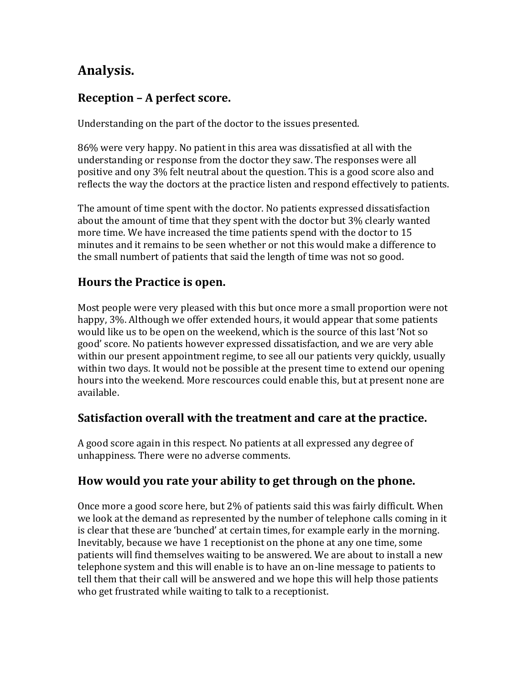# **Analysis.**

# **Reception – A perfect score.**

Understanding on the part of the doctor to the issues presented.

86% were very happy. No patient in this area was dissatisfied at all with the understanding or response from the doctor they saw. The responses were all positive and ony 3% felt neutral about the question. This is a good score also and reflects the way the doctors at the practice listen and respond effectively to patients.

The amount of time spent with the doctor. No patients expressed dissatisfaction about the amount of time that they spent with the doctor but 3% clearly wanted more time. We have increased the time patients spend with the doctor to 15 minutes and it remains to be seen whether or not this would make a difference to the small numbert of patients that said the length of time was not so good.

## **Hours the Practice is open.**

Most people were very pleased with this but once more a small proportion were not happy, 3%. Although we offer extended hours, it would appear that some patients would like us to be open on the weekend, which is the source of this last 'Not so good' score. No patients however expressed dissatisfaction, and we are very able within our present appointment regime, to see all our patients very quickly, usually within two days. It would not be possible at the present time to extend our opening hours into the weekend. More rescources could enable this, but at present none are available.

## **Satisfaction overall with the treatment and care at the practice.**

A good score again in this respect. No patients at all expressed any degree of unhappiness. There were no adverse comments.

## **How would you rate your ability to get through on the phone.**

Once more a good score here, but 2% of patients said this was fairly difficult. When we look at the demand as represented by the number of telephone calls coming in it is clear that these are 'bunched' at certain times, for example early in the morning. Inevitably, because we have 1 receptionist on the phone at any one time, some patients will find themselves waiting to be answered. We are about to install a new telephone system and this will enable is to have an on-line message to patients to tell them that their call will be answered and we hope this will help those patients who get frustrated while waiting to talk to a receptionist.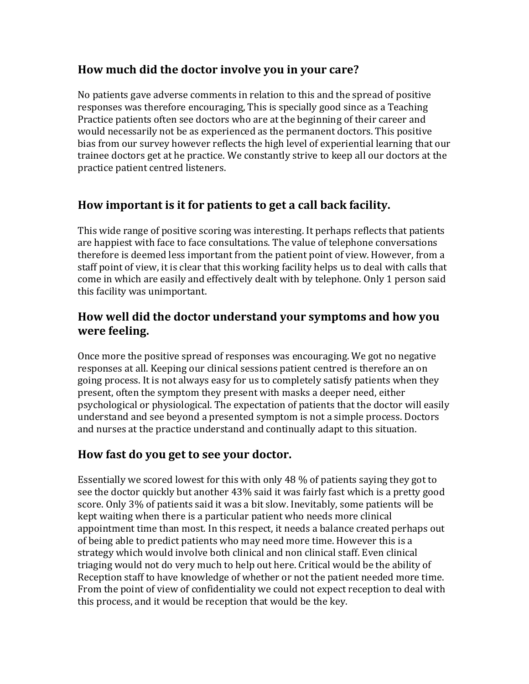#### **How much did the doctor involve you in your care?**

No patients gave adverse comments in relation to this and the spread of positive responses was therefore encouraging, This is specially good since as a Teaching Practice patients often see doctors who are at the beginning of their career and would necessarily not be as experienced as the permanent doctors. This positive bias from our survey however reflects the high level of experiential learning that our trainee doctors get at he practice. We constantly strive to keep all our doctors at the practice patient centred listeners.

## **How important is it for patients to get a call back facility.**

This wide range of positive scoring was interesting. It perhaps reflects that patients are happiest with face to face consultations. The value of telephone conversations therefore is deemed less important from the patient point of view. However, from a staff point of view, it is clear that this working facility helps us to deal with calls that come in which are easily and effectively dealt with by telephone. Only 1 person said this facility was unimportant.

#### **How well did the doctor understand your symptoms and how you were feeling.**

Once more the positive spread of responses was encouraging. We got no negative responses at all. Keeping our clinical sessions patient centred is therefore an on going process. It is not always easy for us to completely satisfy patients when they present, often the symptom they present with masks a deeper need, either psychological or physiological. The expectation of patients that the doctor will easily understand and see beyond a presented symptom is not a simple process. Doctors and nurses at the practice understand and continually adapt to this situation.

## **How fast do you get to see your doctor.**

Essentially we scored lowest for this with only 48 % of patients saying they got to see the doctor quickly but another 43% said it was fairly fast which is a pretty good score. Only 3% of patients said it was a bit slow. Inevitably, some patients will be kept waiting when there is a particular patient who needs more clinical appointment time than most. In this respect, it needs a balance created perhaps out of being able to predict patients who may need more time. However this is a strategy which would involve both clinical and non clinical staff. Even clinical triaging would not do very much to help out here. Critical would be the ability of Reception staff to have knowledge of whether or not the patient needed more time. From the point of view of confidentiality we could not expect reception to deal with this process, and it would be reception that would be the key.